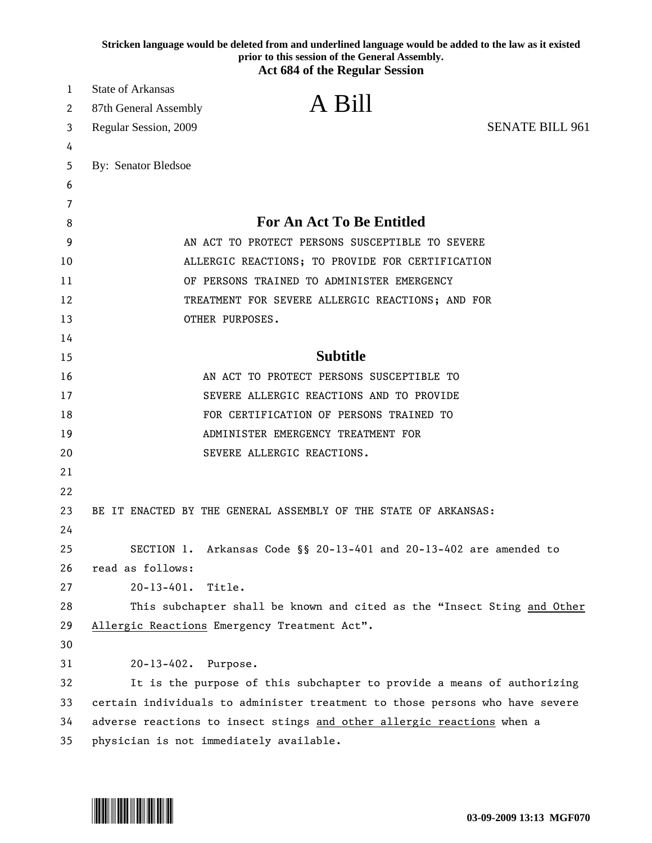|          | Stricken language would be deleted from and underlined language would be added to the law as it existed<br>prior to this session of the General Assembly. |
|----------|-----------------------------------------------------------------------------------------------------------------------------------------------------------|
|          | <b>Act 684 of the Regular Session</b>                                                                                                                     |
| 1        | <b>State of Arkansas</b>                                                                                                                                  |
| 2        | A Bill<br>87th General Assembly                                                                                                                           |
| 3        | <b>SENATE BILL 961</b><br>Regular Session, 2009                                                                                                           |
| 4        |                                                                                                                                                           |
| 5        | By: Senator Bledsoe                                                                                                                                       |
| 6        |                                                                                                                                                           |
| 7        |                                                                                                                                                           |
| 8        | <b>For An Act To Be Entitled</b>                                                                                                                          |
| 9        | AN ACT TO PROTECT PERSONS SUSCEPTIBLE TO SEVERE                                                                                                           |
| 10       | ALLERGIC REACTIONS; TO PROVIDE FOR CERTIFICATION                                                                                                          |
| 11       | OF PERSONS TRAINED TO ADMINISTER EMERGENCY                                                                                                                |
| 12       | TREATMENT FOR SEVERE ALLERGIC REACTIONS; AND FOR                                                                                                          |
| 13       | OTHER PURPOSES.                                                                                                                                           |
| 14       |                                                                                                                                                           |
| 15       | <b>Subtitle</b>                                                                                                                                           |
| 16       | AN ACT TO PROTECT PERSONS SUSCEPTIBLE TO                                                                                                                  |
| 17       | SEVERE ALLERGIC REACTIONS AND TO PROVIDE                                                                                                                  |
| 18       | FOR CERTIFICATION OF PERSONS TRAINED TO                                                                                                                   |
| 19       | ADMINISTER EMERGENCY TREATMENT FOR                                                                                                                        |
| 20       | SEVERE ALLERGIC REACTIONS.                                                                                                                                |
| 21       |                                                                                                                                                           |
| 22       |                                                                                                                                                           |
| 23       | BE IT ENACTED BY THE GENERAL ASSEMBLY OF THE STATE OF ARKANSAS:                                                                                           |
| 24<br>25 |                                                                                                                                                           |
| 26       | SECTION 1. Arkansas Code §§ 20-13-401 and 20-13-402 are amended to<br>read as follows:                                                                    |
| 27       | $20 - 13 - 401.$<br>Title.                                                                                                                                |
| 28       | This subchapter shall be known and cited as the "Insect Sting and Other                                                                                   |
| 29       | Allergic Reactions Emergency Treatment Act".                                                                                                              |
| 30       |                                                                                                                                                           |
| 31       | 20-13-402. Purpose.                                                                                                                                       |
| 32       | It is the purpose of this subchapter to provide a means of authorizing                                                                                    |
| 33       | certain individuals to administer treatment to those persons who have severe                                                                              |
| 34       | adverse reactions to insect stings and other allergic reactions when a                                                                                    |
| 35       | physician is not immediately available.                                                                                                                   |